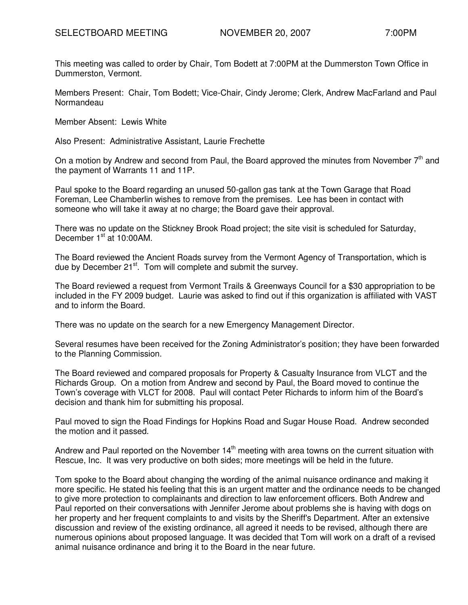This meeting was called to order by Chair, Tom Bodett at 7:00PM at the Dummerston Town Office in Dummerston, Vermont.

Members Present: Chair, Tom Bodett; Vice-Chair, Cindy Jerome; Clerk, Andrew MacFarland and Paul **Normandeau** 

Member Absent: Lewis White

Also Present: Administrative Assistant, Laurie Frechette

On a motion by Andrew and second from Paul, the Board approved the minutes from November  $7<sup>th</sup>$  and the payment of Warrants 11 and 11P.

Paul spoke to the Board regarding an unused 50-gallon gas tank at the Town Garage that Road Foreman, Lee Chamberlin wishes to remove from the premises. Lee has been in contact with someone who will take it away at no charge; the Board gave their approval.

There was no update on the Stickney Brook Road project; the site visit is scheduled for Saturday, December 1<sup>st</sup> at 10:00AM.

The Board reviewed the Ancient Roads survey from the Vermont Agency of Transportation, which is due by December 21<sup>st</sup>. Tom will complete and submit the survey.

The Board reviewed a request from Vermont Trails & Greenways Council for a \$30 appropriation to be included in the FY 2009 budget. Laurie was asked to find out if this organization is affiliated with VAST and to inform the Board.

There was no update on the search for a new Emergency Management Director.

Several resumes have been received for the Zoning Administrator's position; they have been forwarded to the Planning Commission.

The Board reviewed and compared proposals for Property & Casualty Insurance from VLCT and the Richards Group. On a motion from Andrew and second by Paul, the Board moved to continue the Town's coverage with VLCT for 2008. Paul will contact Peter Richards to inform him of the Board's decision and thank him for submitting his proposal.

Paul moved to sign the Road Findings for Hopkins Road and Sugar House Road. Andrew seconded the motion and it passed.

Andrew and Paul reported on the November  $14<sup>th</sup>$  meeting with area towns on the current situation with Rescue, Inc. It was very productive on both sides; more meetings will be held in the future.

Tom spoke to the Board about changing the wording of the animal nuisance ordinance and making it more specific. He stated his feeling that this is an urgent matter and the ordinance needs to be changed to give more protection to complainants and direction to law enforcement officers. Both Andrew and Paul reported on their conversations with Jennifer Jerome about problems she is having with dogs on her property and her frequent complaints to and visits by the Sheriff's Department. After an extensive discussion and review of the existing ordinance, all agreed it needs to be revised, although there are numerous opinions about proposed language. It was decided that Tom will work on a draft of a revised animal nuisance ordinance and bring it to the Board in the near future.